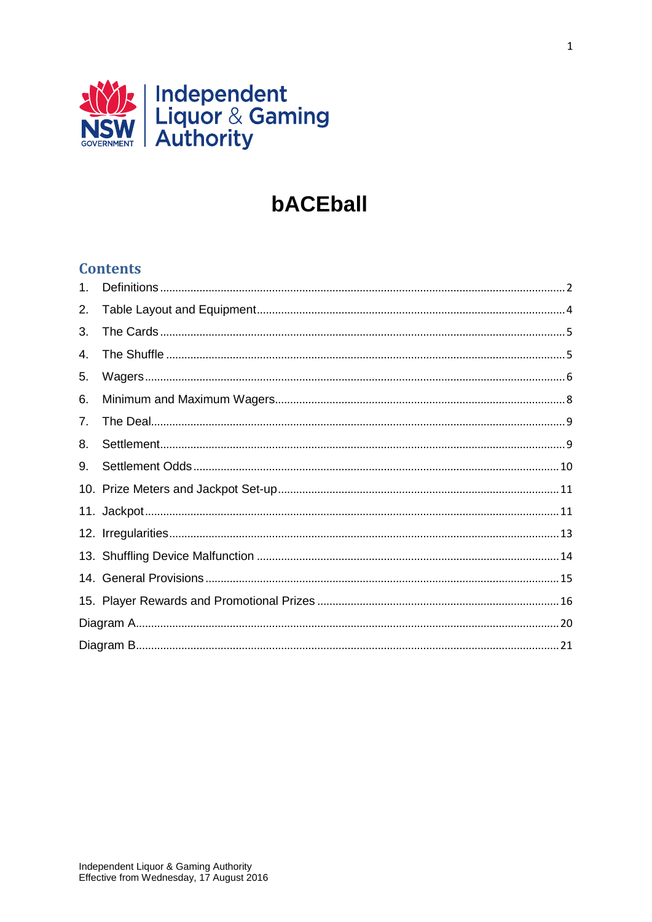

# bACEball

### **Contents**

| 1. |  |  |
|----|--|--|
| 2. |  |  |
| 3. |  |  |
| 4. |  |  |
| 5. |  |  |
| 6. |  |  |
| 7. |  |  |
| 8. |  |  |
| 9. |  |  |
|    |  |  |
|    |  |  |
|    |  |  |
|    |  |  |
|    |  |  |
|    |  |  |
|    |  |  |
|    |  |  |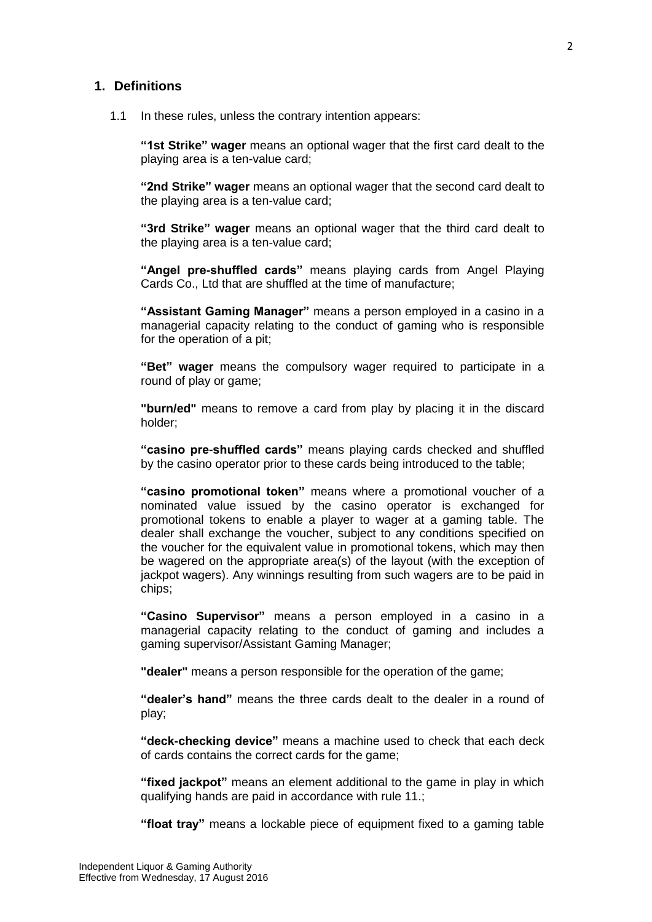#### <span id="page-1-0"></span>**1. Definitions**

1.1 In these rules, unless the contrary intention appears:

**"1st Strike" wager** means an optional wager that the first card dealt to the playing area is a ten-value card;

**"2nd Strike" wager** means an optional wager that the second card dealt to the playing area is a ten-value card;

**"3rd Strike" wager** means an optional wager that the third card dealt to the playing area is a ten-value card;

**"Angel pre-shuffled cards"** means playing cards from Angel Playing Cards Co., Ltd that are shuffled at the time of manufacture;

**"Assistant Gaming Manager"** means a person employed in a casino in a managerial capacity relating to the conduct of gaming who is responsible for the operation of a pit;

**"Bet" wager** means the compulsory wager required to participate in a round of play or game;

**"burn/ed"** means to remove a card from play by placing it in the discard holder;

**"casino pre-shuffled cards"** means playing cards checked and shuffled by the casino operator prior to these cards being introduced to the table;

**"casino promotional token"** means where a promotional voucher of a nominated value issued by the casino operator is exchanged for promotional tokens to enable a player to wager at a gaming table. The dealer shall exchange the voucher, subject to any conditions specified on the voucher for the equivalent value in promotional tokens, which may then be wagered on the appropriate area(s) of the layout (with the exception of jackpot wagers). Any winnings resulting from such wagers are to be paid in chips;

**"Casino Supervisor"** means a person employed in a casino in a managerial capacity relating to the conduct of gaming and includes a gaming supervisor/Assistant Gaming Manager;

**"dealer"** means a person responsible for the operation of the game;

**"dealer's hand"** means the three cards dealt to the dealer in a round of play;

**"deck-checking device"** means a machine used to check that each deck of cards contains the correct cards for the game;

**"fixed jackpot"** means an element additional to the game in play in which qualifying hands are paid in accordance with rule 11.;

**"float tray"** means a lockable piece of equipment fixed to a gaming table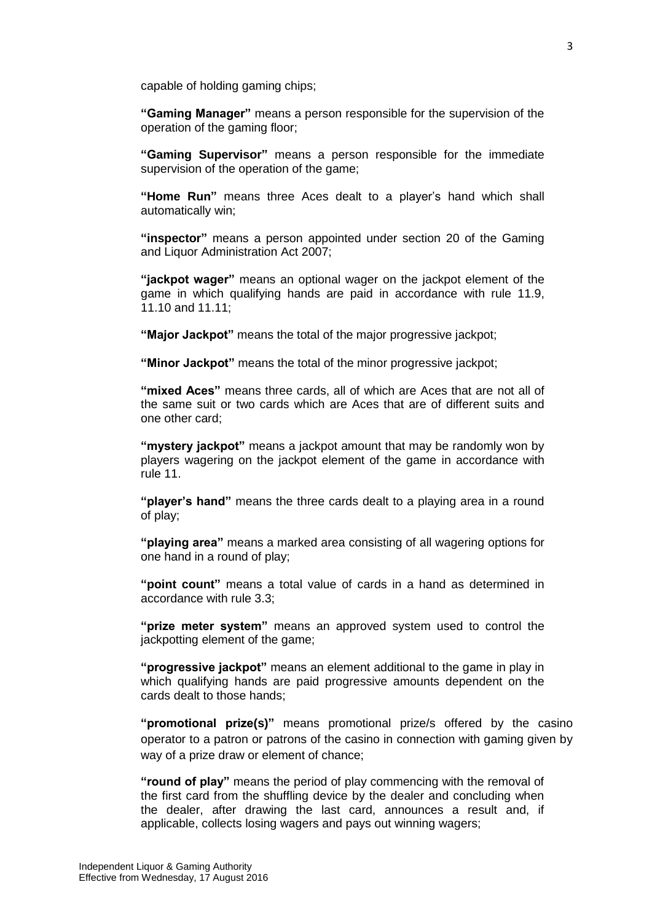capable of holding gaming chips;

**"Gaming Manager"** means a person responsible for the supervision of the operation of the gaming floor;

**"Gaming Supervisor"** means a person responsible for the immediate supervision of the operation of the game;

**"Home Run"** means three Aces dealt to a player's hand which shall automatically win;

**"inspector"** means a person appointed under section 20 of the Gaming and Liquor Administration Act 2007;

**"jackpot wager"** means an optional wager on the jackpot element of the game in which qualifying hands are paid in accordance with rule 11.9, 11.10 and 11.11;

**"Major Jackpot"** means the total of the major progressive jackpot;

**"Minor Jackpot"** means the total of the minor progressive jackpot;

**"mixed Aces"** means three cards, all of which are Aces that are not all of the same suit or two cards which are Aces that are of different suits and one other card;

**"mystery jackpot"** means a jackpot amount that may be randomly won by players wagering on the jackpot element of the game in accordance with rule 11.

**"player's hand"** means the three cards dealt to a playing area in a round of play;

**"playing area"** means a marked area consisting of all wagering options for one hand in a round of play;

**"point count"** means a total value of cards in a hand as determined in accordance with rule 3.3;

**"prize meter system"** means an approved system used to control the jackpotting element of the game;

**"progressive jackpot"** means an element additional to the game in play in which qualifying hands are paid progressive amounts dependent on the cards dealt to those hands;

**"promotional prize(s)"** means promotional prize/s offered by the casino operator to a patron or patrons of the casino in connection with gaming given by way of a prize draw or element of chance;

**"round of play"** means the period of play commencing with the removal of the first card from the shuffling device by the dealer and concluding when the dealer, after drawing the last card, announces a result and, if applicable, collects losing wagers and pays out winning wagers;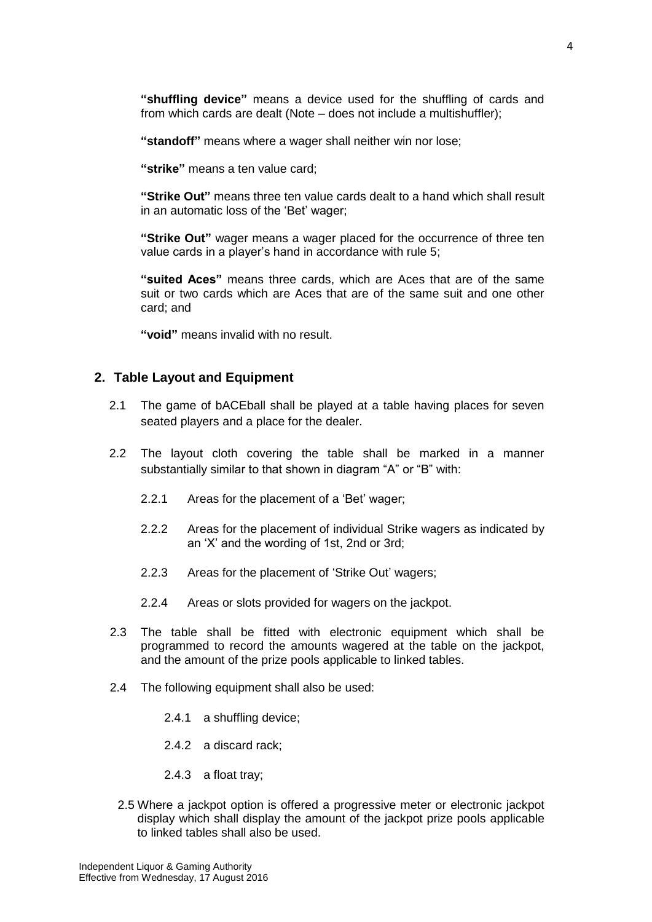**"shuffling device"** means a device used for the shuffling of cards and from which cards are dealt (Note – does not include a multishuffler);

**"standoff"** means where a wager shall neither win nor lose;

**"strike"** means a ten value card;

**"Strike Out"** means three ten value cards dealt to a hand which shall result in an automatic loss of the 'Bet' wager;

**"Strike Out"** wager means a wager placed for the occurrence of three ten value cards in a player's hand in accordance with rule 5;

**"suited Aces"** means three cards, which are Aces that are of the same suit or two cards which are Aces that are of the same suit and one other card; and

**"void"** means invalid with no result.

#### <span id="page-3-0"></span>**2. Table Layout and Equipment**

- 2.1 The game of bACEball shall be played at a table having places for seven seated players and a place for the dealer.
- 2.2 The layout cloth covering the table shall be marked in a manner substantially similar to that shown in diagram "A" or "B" with:
	- 2.2.1 Areas for the placement of a 'Bet' wager;
	- 2.2.2 Areas for the placement of individual Strike wagers as indicated by an 'X' and the wording of 1st, 2nd or 3rd;
	- 2.2.3 Areas for the placement of 'Strike Out' wagers;
	- 2.2.4 Areas or slots provided for wagers on the jackpot.
- 2.3 The table shall be fitted with electronic equipment which shall be programmed to record the amounts wagered at the table on the jackpot, and the amount of the prize pools applicable to linked tables.
- 2.4 The following equipment shall also be used:
	- 2.4.1 a shuffling device;
	- 2.4.2 a discard rack;
	- 2.4.3 a float tray;
- 2.5 Where a jackpot option is offered a progressive meter or electronic jackpot display which shall display the amount of the jackpot prize pools applicable to linked tables shall also be used.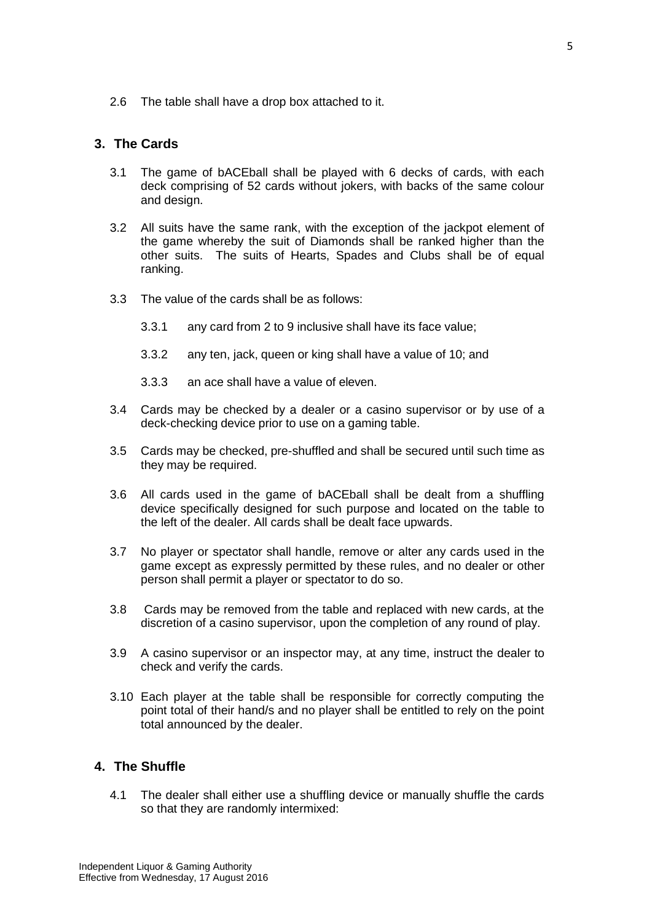2.6 The table shall have a drop box attached to it.

#### <span id="page-4-0"></span>**3. The Cards**

- 3.1 The game of bACEball shall be played with 6 decks of cards, with each deck comprising of 52 cards without jokers, with backs of the same colour and design.
- 3.2 All suits have the same rank, with the exception of the jackpot element of the game whereby the suit of Diamonds shall be ranked higher than the other suits. The suits of Hearts, Spades and Clubs shall be of equal ranking.
- 3.3 The value of the cards shall be as follows:
	- 3.3.1 any card from 2 to 9 inclusive shall have its face value;
	- 3.3.2 any ten, jack, queen or king shall have a value of 10; and
	- 3.3.3 an ace shall have a value of eleven.
- 3.4 Cards may be checked by a dealer or a casino supervisor or by use of a deck-checking device prior to use on a gaming table.
- 3.5 Cards may be checked, pre-shuffled and shall be secured until such time as they may be required.
- 3.6 All cards used in the game of bACEball shall be dealt from a shuffling device specifically designed for such purpose and located on the table to the left of the dealer. All cards shall be dealt face upwards.
- 3.7 No player or spectator shall handle, remove or alter any cards used in the game except as expressly permitted by these rules, and no dealer or other person shall permit a player or spectator to do so.
- 3.8 Cards may be removed from the table and replaced with new cards, at the discretion of a casino supervisor, upon the completion of any round of play.
- 3.9 A casino supervisor or an inspector may, at any time, instruct the dealer to check and verify the cards.
- 3.10 Each player at the table shall be responsible for correctly computing the point total of their hand/s and no player shall be entitled to rely on the point total announced by the dealer.

#### <span id="page-4-1"></span>**4. The Shuffle**

4.1 The dealer shall either use a shuffling device or manually shuffle the cards so that they are randomly intermixed: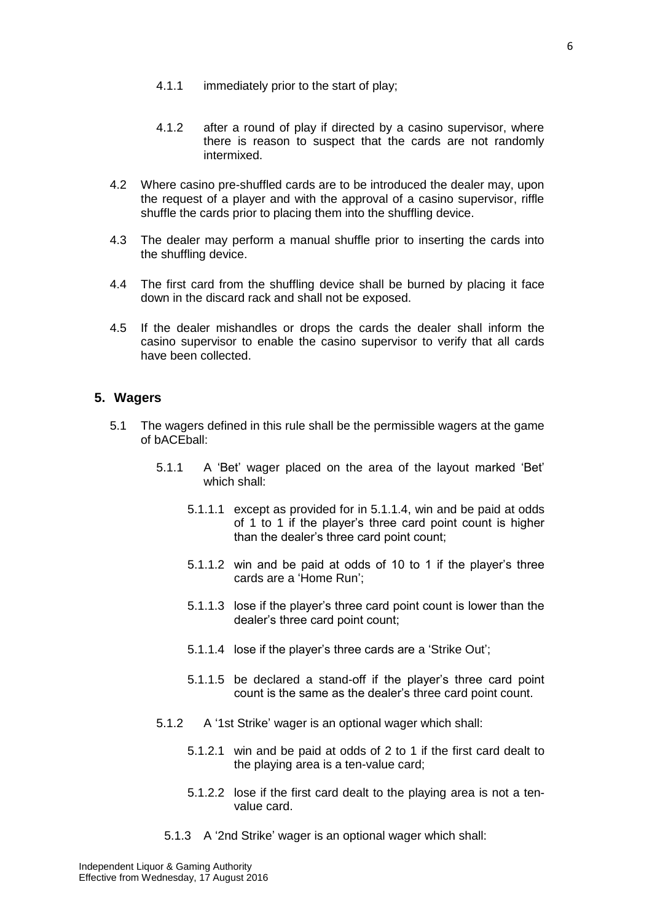- 4.1.1 immediately prior to the start of play;
- 4.1.2 after a round of play if directed by a casino supervisor, where there is reason to suspect that the cards are not randomly intermixed.
- 4.2 Where casino pre-shuffled cards are to be introduced the dealer may, upon the request of a player and with the approval of a casino supervisor, riffle shuffle the cards prior to placing them into the shuffling device.
- 4.3 The dealer may perform a manual shuffle prior to inserting the cards into the shuffling device.
- 4.4 The first card from the shuffling device shall be burned by placing it face down in the discard rack and shall not be exposed.
- 4.5 If the dealer mishandles or drops the cards the dealer shall inform the casino supervisor to enable the casino supervisor to verify that all cards have been collected.

#### <span id="page-5-0"></span>**5. Wagers**

- 5.1 The wagers defined in this rule shall be the permissible wagers at the game of bACEball:
	- 5.1.1 A 'Bet' wager placed on the area of the layout marked 'Bet' which shall:
		- 5.1.1.1 except as provided for in 5.1.1.4, win and be paid at odds of 1 to 1 if the player's three card point count is higher than the dealer's three card point count;
		- 5.1.1.2 win and be paid at odds of 10 to 1 if the player's three cards are a 'Home Run';
		- 5.1.1.3 lose if the player's three card point count is lower than the dealer's three card point count;
		- 5.1.1.4 lose if the player's three cards are a 'Strike Out';
		- 5.1.1.5 be declared a stand-off if the player's three card point count is the same as the dealer's three card point count.
	- 5.1.2 A '1st Strike' wager is an optional wager which shall:
		- 5.1.2.1 win and be paid at odds of 2 to 1 if the first card dealt to the playing area is a ten-value card;
		- 5.1.2.2 lose if the first card dealt to the playing area is not a tenvalue card.
		- 5.1.3 A '2nd Strike' wager is an optional wager which shall: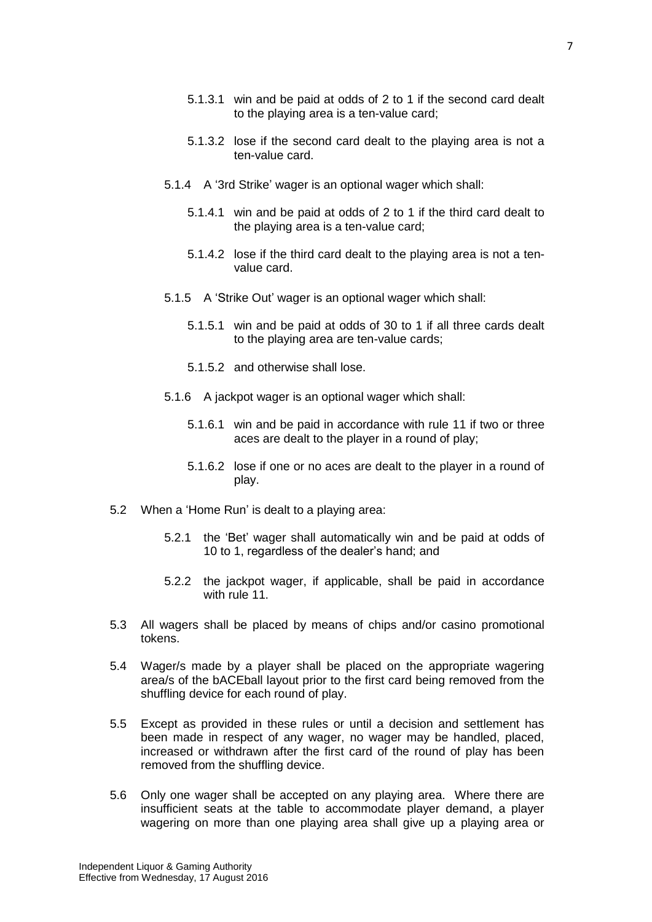- 5.1.3.1 win and be paid at odds of 2 to 1 if the second card dealt to the playing area is a ten-value card;
- 5.1.3.2 lose if the second card dealt to the playing area is not a ten-value card.
- 5.1.4 A '3rd Strike' wager is an optional wager which shall:
	- 5.1.4.1 win and be paid at odds of 2 to 1 if the third card dealt to the playing area is a ten-value card;
	- 5.1.4.2 lose if the third card dealt to the playing area is not a tenvalue card.
- 5.1.5 A 'Strike Out' wager is an optional wager which shall:
	- 5.1.5.1 win and be paid at odds of 30 to 1 if all three cards dealt to the playing area are ten-value cards;
	- 5.1.5.2 and otherwise shall lose.
- 5.1.6 A jackpot wager is an optional wager which shall:
	- 5.1.6.1 win and be paid in accordance with rule 11 if two or three aces are dealt to the player in a round of play;
	- 5.1.6.2 lose if one or no aces are dealt to the player in a round of play.
- 5.2 When a 'Home Run' is dealt to a playing area:
	- 5.2.1 the 'Bet' wager shall automatically win and be paid at odds of 10 to 1, regardless of the dealer's hand; and
	- 5.2.2 the jackpot wager, if applicable, shall be paid in accordance with rule 11.
- 5.3 All wagers shall be placed by means of chips and/or casino promotional tokens.
- 5.4 Wager/s made by a player shall be placed on the appropriate wagering area/s of the bACEball layout prior to the first card being removed from the shuffling device for each round of play.
- 5.5 Except as provided in these rules or until a decision and settlement has been made in respect of any wager, no wager may be handled, placed, increased or withdrawn after the first card of the round of play has been removed from the shuffling device.
- 5.6 Only one wager shall be accepted on any playing area. Where there are insufficient seats at the table to accommodate player demand, a player wagering on more than one playing area shall give up a playing area or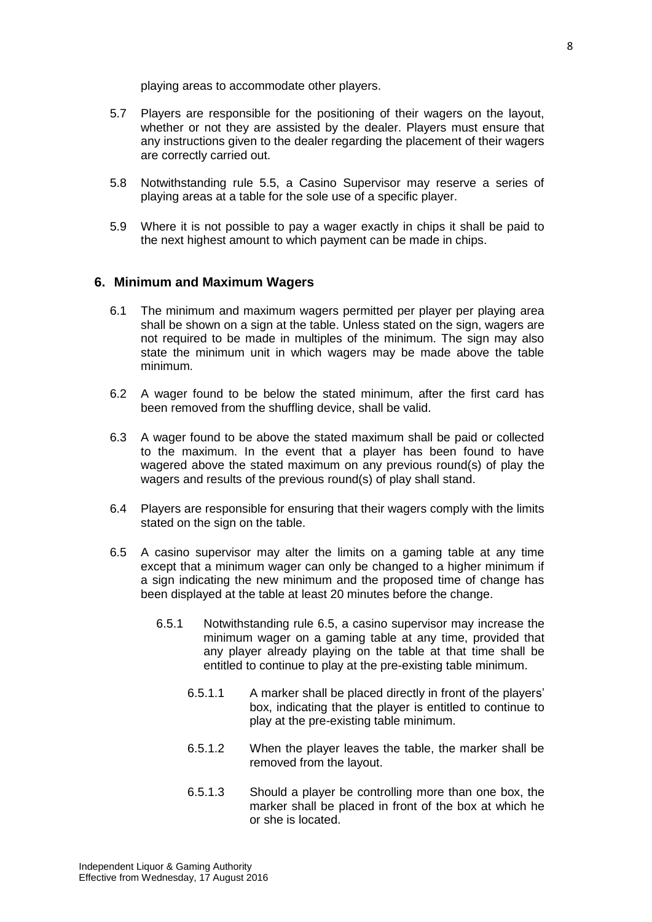playing areas to accommodate other players.

- 5.7 Players are responsible for the positioning of their wagers on the layout, whether or not they are assisted by the dealer. Players must ensure that any instructions given to the dealer regarding the placement of their wagers are correctly carried out.
- 5.8 Notwithstanding rule 5.5, a Casino Supervisor may reserve a series of playing areas at a table for the sole use of a specific player.
- 5.9 Where it is not possible to pay a wager exactly in chips it shall be paid to the next highest amount to which payment can be made in chips.

#### <span id="page-7-0"></span>**6. Minimum and Maximum Wagers**

- 6.1 The minimum and maximum wagers permitted per player per playing area shall be shown on a sign at the table. Unless stated on the sign, wagers are not required to be made in multiples of the minimum. The sign may also state the minimum unit in which wagers may be made above the table minimum.
- 6.2 A wager found to be below the stated minimum, after the first card has been removed from the shuffling device, shall be valid.
- 6.3 A wager found to be above the stated maximum shall be paid or collected to the maximum. In the event that a player has been found to have wagered above the stated maximum on any previous round(s) of play the wagers and results of the previous round(s) of play shall stand.
- 6.4 Players are responsible for ensuring that their wagers comply with the limits stated on the sign on the table.
- 6.5 A casino supervisor may alter the limits on a gaming table at any time except that a minimum wager can only be changed to a higher minimum if a sign indicating the new minimum and the proposed time of change has been displayed at the table at least 20 minutes before the change.
	- 6.5.1 Notwithstanding rule 6.5, a casino supervisor may increase the minimum wager on a gaming table at any time, provided that any player already playing on the table at that time shall be entitled to continue to play at the pre-existing table minimum.
		- 6.5.1.1 A marker shall be placed directly in front of the players' box, indicating that the player is entitled to continue to play at the pre-existing table minimum.
		- 6.5.1.2 When the player leaves the table, the marker shall be removed from the layout.
		- 6.5.1.3 Should a player be controlling more than one box, the marker shall be placed in front of the box at which he or she is located.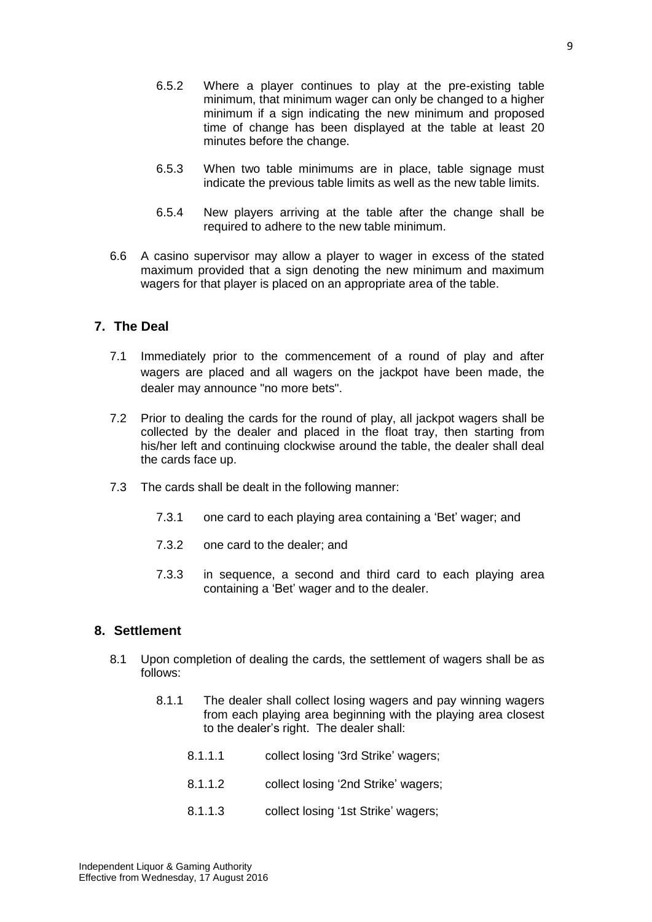- 6.5.3 When two table minimums are in place, table signage must indicate the previous table limits as well as the new table limits.
- 6.5.4 New players arriving at the table after the change shall be required to adhere to the new table minimum.
- 6.6 A casino supervisor may allow a player to wager in excess of the stated maximum provided that a sign denoting the new minimum and maximum wagers for that player is placed on an appropriate area of the table.

#### <span id="page-8-0"></span>**7. The Deal**

- 7.1 Immediately prior to the commencement of a round of play and after wagers are placed and all wagers on the jackpot have been made, the dealer may announce "no more bets".
- 7.2 Prior to dealing the cards for the round of play, all jackpot wagers shall be collected by the dealer and placed in the float tray, then starting from his/her left and continuing clockwise around the table, the dealer shall deal the cards face up.
- 7.3 The cards shall be dealt in the following manner:
	- 7.3.1 one card to each playing area containing a 'Bet' wager; and
	- 7.3.2 one card to the dealer; and
	- 7.3.3 in sequence, a second and third card to each playing area containing a 'Bet' wager and to the dealer.

#### <span id="page-8-1"></span>**8. Settlement**

- 8.1 Upon completion of dealing the cards, the settlement of wagers shall be as follows:
	- 8.1.1 The dealer shall collect losing wagers and pay winning wagers from each playing area beginning with the playing area closest to the dealer's right. The dealer shall:
		- 8.1.1.1 collect losing '3rd Strike' wagers;
		- 8.1.1.2 collect losing '2nd Strike' wagers;
		- 8.1.1.3 collect losing '1st Strike' wagers;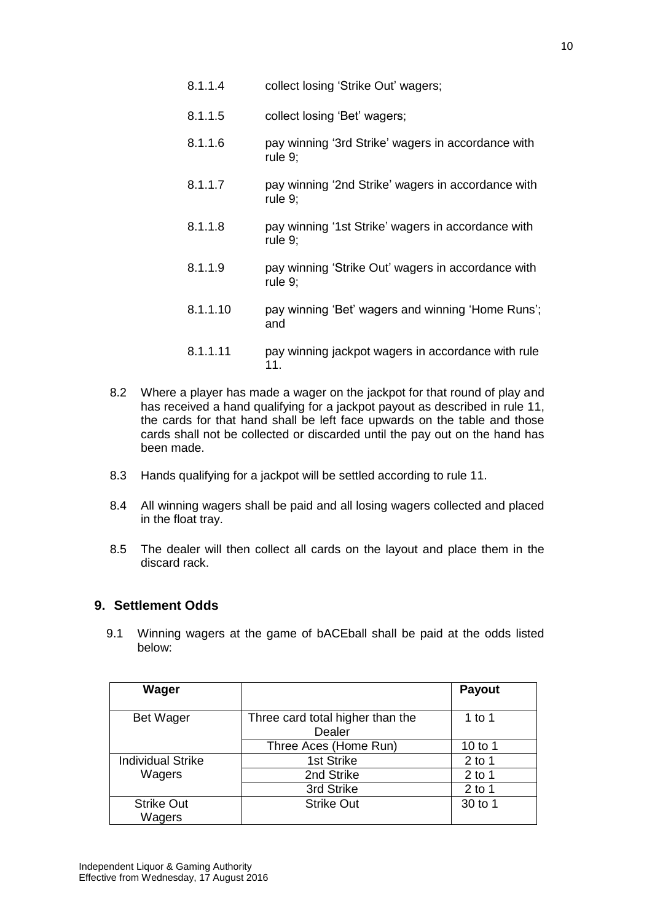- 8.1.1.4 collect losing 'Strike Out' wagers;
- 8.1.1.5 collect losing 'Bet' wagers;
- 8.1.1.6 pay winning '3rd Strike' wagers in accordance with rule 9;
- 8.1.1.7 pay winning '2nd Strike' wagers in accordance with rule 9;
- 8.1.1.8 pay winning '1st Strike' wagers in accordance with rule 9;
- 8.1.1.9 pay winning 'Strike Out' wagers in accordance with rule 9;
- 8.1.1.10 pay winning 'Bet' wagers and winning 'Home Runs'; and
- 8.1.1.11 pay winning jackpot wagers in accordance with rule 11.
- 8.2 Where a player has made a wager on the jackpot for that round of play and has received a hand qualifying for a jackpot payout as described in rule 11, the cards for that hand shall be left face upwards on the table and those cards shall not be collected or discarded until the pay out on the hand has been made.
- 8.3 Hands qualifying for a jackpot will be settled according to rule 11.
- 8.4 All winning wagers shall be paid and all losing wagers collected and placed in the float tray.
- 8.5 The dealer will then collect all cards on the layout and place them in the discard rack.

#### <span id="page-9-0"></span>**9. Settlement Odds**

9.1 Winning wagers at the game of bACEball shall be paid at the odds listed below:

| Wager                    |                                  | Payout   |
|--------------------------|----------------------------------|----------|
|                          |                                  |          |
| <b>Bet Wager</b>         | Three card total higher than the | 1 to 1   |
|                          | Dealer                           |          |
|                          | Three Aces (Home Run)            | 10 to 1  |
| <b>Individual Strike</b> | 1st Strike                       | $2$ to 1 |
| Wagers                   | 2nd Strike                       | $2$ to 1 |
|                          | 3rd Strike                       | $2$ to 1 |
| <b>Strike Out</b>        | <b>Strike Out</b>                | 30 to 1  |
| Wagers                   |                                  |          |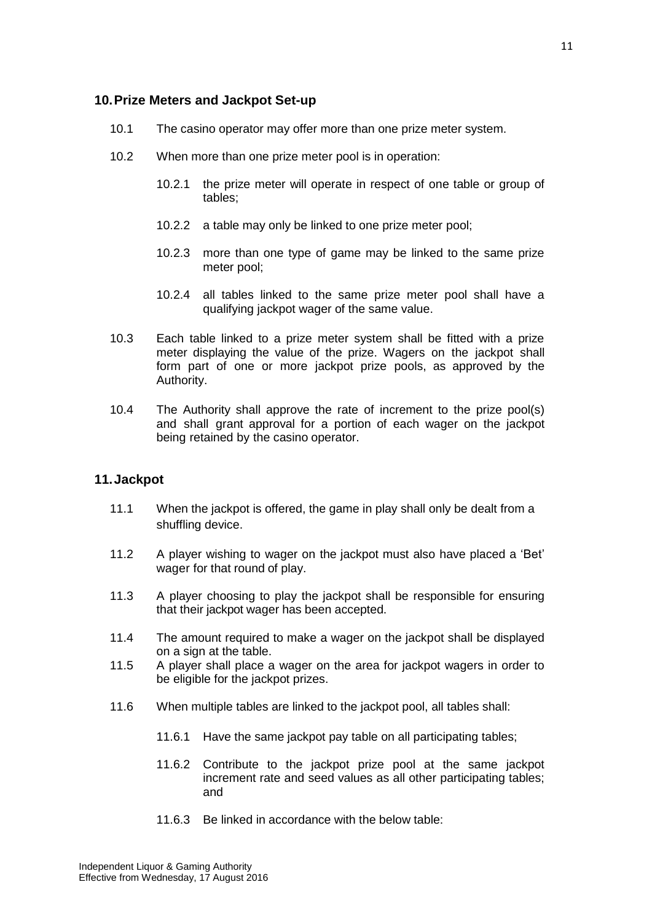#### <span id="page-10-0"></span>**10.Prize Meters and Jackpot Set-up**

- 10.1 The casino operator may offer more than one prize meter system.
- 10.2 When more than one prize meter pool is in operation:
	- 10.2.1 the prize meter will operate in respect of one table or group of tables;
	- 10.2.2 a table may only be linked to one prize meter pool;
	- 10.2.3 more than one type of game may be linked to the same prize meter pool;
	- 10.2.4 all tables linked to the same prize meter pool shall have a qualifying jackpot wager of the same value.
- 10.3 Each table linked to a prize meter system shall be fitted with a prize meter displaying the value of the prize. Wagers on the jackpot shall form part of one or more jackpot prize pools, as approved by the Authority.
- 10.4 The Authority shall approve the rate of increment to the prize pool(s) and shall grant approval for a portion of each wager on the jackpot being retained by the casino operator.

#### <span id="page-10-1"></span>**11.Jackpot**

- 11.1 When the jackpot is offered, the game in play shall only be dealt from a shuffling device.
- 11.2 A player wishing to wager on the jackpot must also have placed a 'Bet' wager for that round of play.
- 11.3 A player choosing to play the jackpot shall be responsible for ensuring that their jackpot wager has been accepted.
- 11.4 The amount required to make a wager on the jackpot shall be displayed on a sign at the table.
- 11.5 A player shall place a wager on the area for jackpot wagers in order to be eligible for the jackpot prizes.
- 11.6 When multiple tables are linked to the jackpot pool, all tables shall:
	- 11.6.1 Have the same jackpot pay table on all participating tables;
	- 11.6.2 Contribute to the jackpot prize pool at the same jackpot increment rate and seed values as all other participating tables; and
	- 11.6.3 Be linked in accordance with the below table: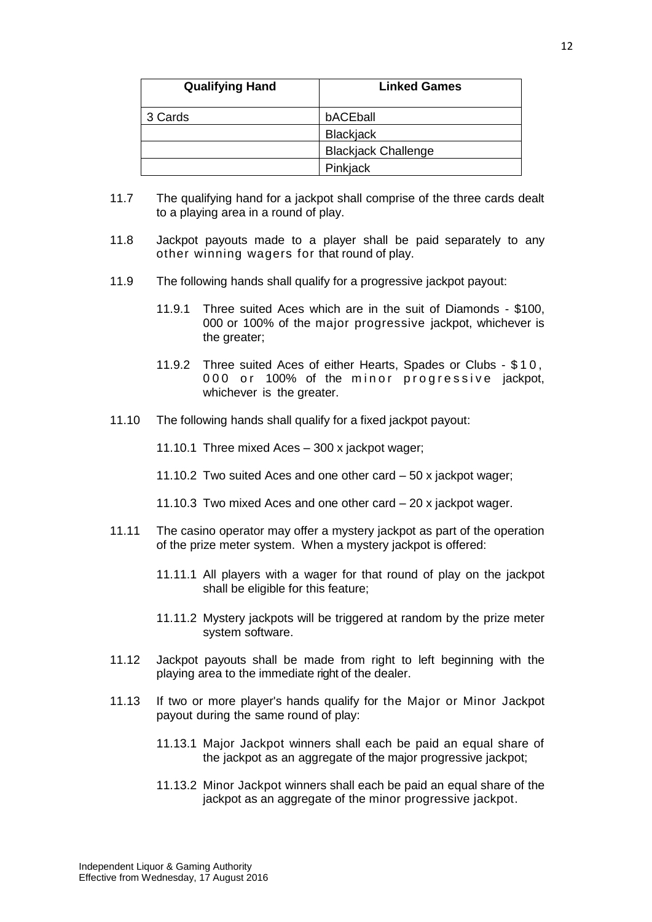| <b>Qualifying Hand</b> | <b>Linked Games</b>        |
|------------------------|----------------------------|
| 3 Cards                | bACEball                   |
|                        | Blackjack                  |
|                        | <b>Blackjack Challenge</b> |
|                        | Pinkjack                   |

- 11.7 The qualifying hand for a jackpot shall comprise of the three cards dealt to a playing area in a round of play.
- 11.8 Jackpot payouts made to a player shall be paid separately to any other winning wagers for that round of play.
- 11.9 The following hands shall qualify for a progressive jackpot payout:
	- 11.9.1 Three suited Aces which are in the suit of Diamonds \$100, 000 or 100% of the major progressive jackpot, whichever is the greater;
	- 11.9.2 Three suited Aces of either Hearts, Spades or Clubs \$ 1 0 , 000 or 100% of the minor progressive jackpot, whichever is the greater.
- 11.10 The following hands shall qualify for a fixed jackpot payout:

11.10.1 Three mixed Aces – 300 x jackpot wager;

- 11.10.2 Two suited Aces and one other card 50 x jackpot wager;
- 11.10.3 Two mixed Aces and one other card 20 x jackpot wager.
- 11.11 The casino operator may offer a mystery jackpot as part of the operation of the prize meter system. When a mystery jackpot is offered:
	- 11.11.1 All players with a wager for that round of play on the jackpot shall be eligible for this feature;
	- 11.11.2 Mystery jackpots will be triggered at random by the prize meter system software.
- 11.12 Jackpot payouts shall be made from right to left beginning with the playing area to the immediate right of the dealer.
- 11.13 If two or more player's hands qualify for the Major or Minor Jackpot payout during the same round of play:
	- 11.13.1 Major Jackpot winners shall each be paid an equal share of the jackpot as an aggregate of the major progressive jackpot;
	- 11.13.2 Minor Jackpot winners shall each be paid an equal share of the jackpot as an aggregate of the minor progressive jackpot.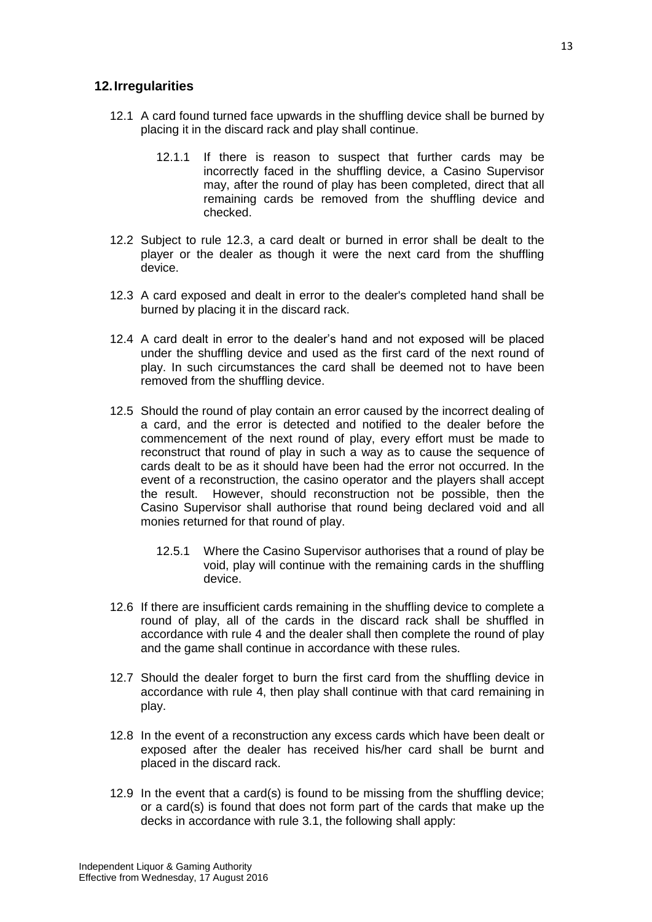#### <span id="page-12-0"></span>**12.Irregularities**

- 12.1 A card found turned face upwards in the shuffling device shall be burned by placing it in the discard rack and play shall continue.
	- 12.1.1 If there is reason to suspect that further cards may be incorrectly faced in the shuffling device, a Casino Supervisor may, after the round of play has been completed, direct that all remaining cards be removed from the shuffling device and checked.
- 12.2 Subject to rule 12.3, a card dealt or burned in error shall be dealt to the player or the dealer as though it were the next card from the shuffling device.
- 12.3 A card exposed and dealt in error to the dealer's completed hand shall be burned by placing it in the discard rack.
- 12.4 A card dealt in error to the dealer's hand and not exposed will be placed under the shuffling device and used as the first card of the next round of play. In such circumstances the card shall be deemed not to have been removed from the shuffling device.
- 12.5 Should the round of play contain an error caused by the incorrect dealing of a card, and the error is detected and notified to the dealer before the commencement of the next round of play, every effort must be made to reconstruct that round of play in such a way as to cause the sequence of cards dealt to be as it should have been had the error not occurred. In the event of a reconstruction, the casino operator and the players shall accept the result. However, should reconstruction not be possible, then the Casino Supervisor shall authorise that round being declared void and all monies returned for that round of play.
	- 12.5.1 Where the Casino Supervisor authorises that a round of play be void, play will continue with the remaining cards in the shuffling device.
- 12.6 If there are insufficient cards remaining in the shuffling device to complete a round of play, all of the cards in the discard rack shall be shuffled in accordance with rule 4 and the dealer shall then complete the round of play and the game shall continue in accordance with these rules.
- 12.7 Should the dealer forget to burn the first card from the shuffling device in accordance with rule 4, then play shall continue with that card remaining in play.
- 12.8 In the event of a reconstruction any excess cards which have been dealt or exposed after the dealer has received his/her card shall be burnt and placed in the discard rack.
- 12.9 In the event that a card(s) is found to be missing from the shuffling device; or a card(s) is found that does not form part of the cards that make up the decks in accordance with rule 3.1, the following shall apply: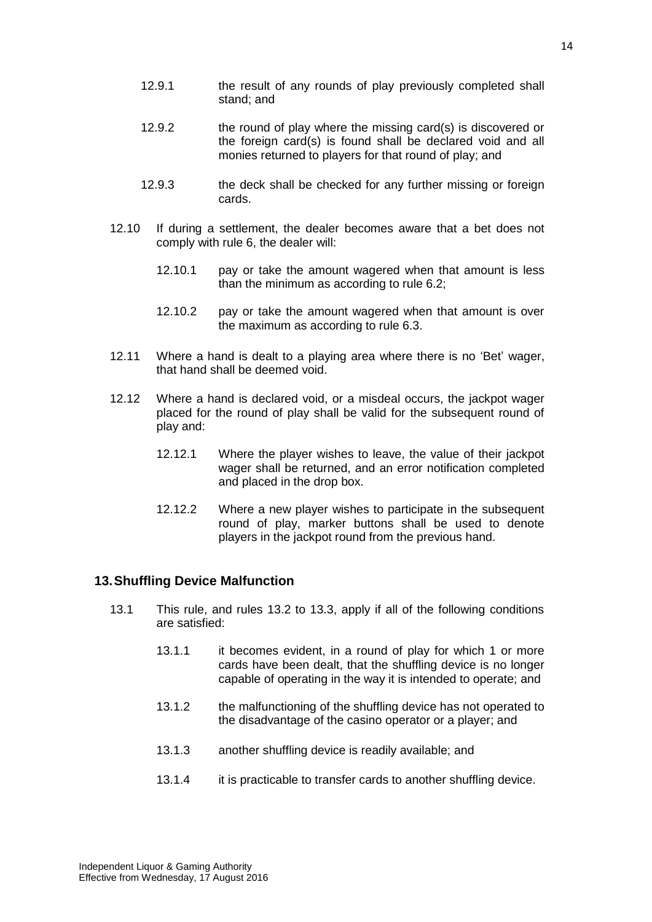- 12.9.1 the result of any rounds of play previously completed shall stand; and
- 12.9.2 the round of play where the missing card(s) is discovered or the foreign card(s) is found shall be declared void and all monies returned to players for that round of play; and
- 12.9.3 the deck shall be checked for any further missing or foreign cards.
- 12.10 If during a settlement, the dealer becomes aware that a bet does not comply with rule 6, the dealer will:
	- 12.10.1 pay or take the amount wagered when that amount is less than the minimum as according to rule 6.2;
	- 12.10.2 pay or take the amount wagered when that amount is over the maximum as according to rule 6.3.
- 12.11 Where a hand is dealt to a playing area where there is no 'Bet' wager, that hand shall be deemed void.
- 12.12 Where a hand is declared void, or a misdeal occurs, the jackpot wager placed for the round of play shall be valid for the subsequent round of play and:
	- 12.12.1 Where the player wishes to leave, the value of their jackpot wager shall be returned, and an error notification completed and placed in the drop box.
	- 12.12.2 Where a new player wishes to participate in the subsequent round of play, marker buttons shall be used to denote players in the jackpot round from the previous hand.

#### <span id="page-13-0"></span>**13.Shuffling Device Malfunction**

- 13.1 This rule, and rules 13.2 to 13.3, apply if all of the following conditions are satisfied:
	- 13.1.1 it becomes evident, in a round of play for which 1 or more cards have been dealt, that the shuffling device is no longer capable of operating in the way it is intended to operate; and
	- 13.1.2 the malfunctioning of the shuffling device has not operated to the disadvantage of the casino operator or a player; and
	- 13.1.3 another shuffling device is readily available; and
	- 13.1.4 it is practicable to transfer cards to another shuffling device.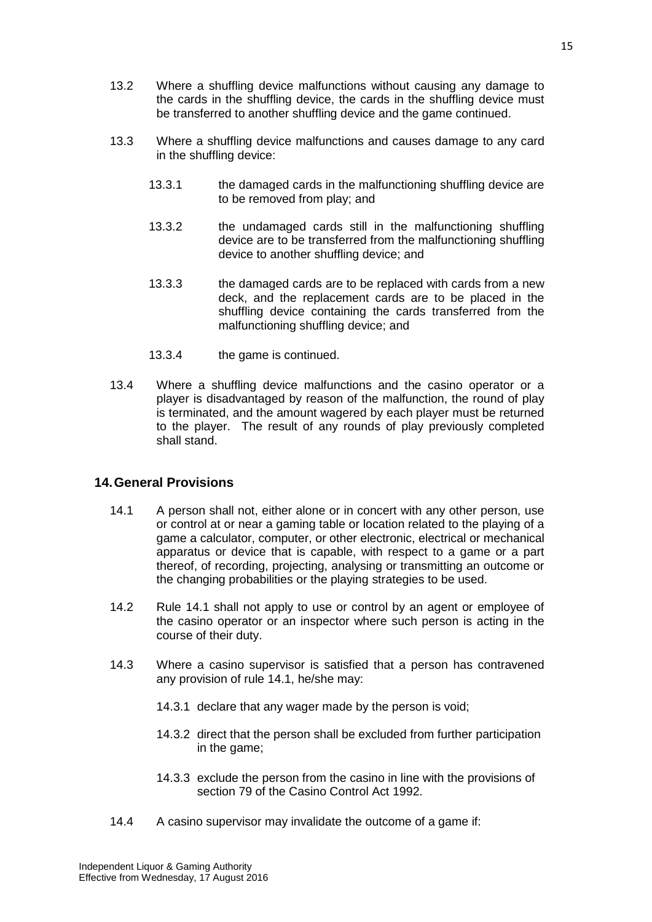- 13.2 Where a shuffling device malfunctions without causing any damage to the cards in the shuffling device, the cards in the shuffling device must be transferred to another shuffling device and the game continued.
- 13.3 Where a shuffling device malfunctions and causes damage to any card in the shuffling device:
	- 13.3.1 the damaged cards in the malfunctioning shuffling device are to be removed from play; and
	- 13.3.2 the undamaged cards still in the malfunctioning shuffling device are to be transferred from the malfunctioning shuffling device to another shuffling device; and
	- 13.3.3 the damaged cards are to be replaced with cards from a new deck, and the replacement cards are to be placed in the shuffling device containing the cards transferred from the malfunctioning shuffling device; and
	- 13.3.4 the game is continued.
- 13.4 Where a shuffling device malfunctions and the casino operator or a player is disadvantaged by reason of the malfunction, the round of play is terminated, and the amount wagered by each player must be returned to the player. The result of any rounds of play previously completed shall stand.

#### <span id="page-14-0"></span>**14.General Provisions**

- 14.1 A person shall not, either alone or in concert with any other person, use or control at or near a gaming table or location related to the playing of a game a calculator, computer, or other electronic, electrical or mechanical apparatus or device that is capable, with respect to a game or a part thereof, of recording, projecting, analysing or transmitting an outcome or the changing probabilities or the playing strategies to be used.
- 14.2 Rule 14.1 shall not apply to use or control by an agent or employee of the casino operator or an inspector where such person is acting in the course of their duty.
- 14.3 Where a casino supervisor is satisfied that a person has contravened any provision of rule 14.1, he/she may:
	- 14.3.1 declare that any wager made by the person is void;
	- 14.3.2 direct that the person shall be excluded from further participation in the game;
	- 14.3.3 exclude the person from the casino in line with the provisions of section 79 of the Casino Control Act 1992.
- 14.4 A casino supervisor may invalidate the outcome of a game if: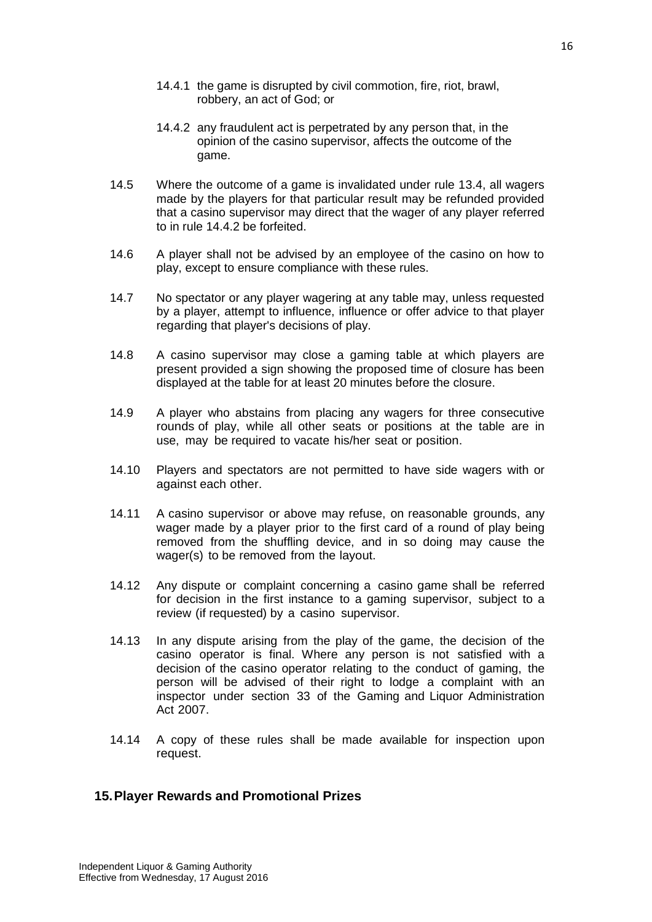- 14.4.1 the game is disrupted by civil commotion, fire, riot, brawl, robbery, an act of God; or
- 14.4.2 any fraudulent act is perpetrated by any person that, in the opinion of the casino supervisor, affects the outcome of the game.
- 14.5 Where the outcome of a game is invalidated under rule 13.4, all wagers made by the players for that particular result may be refunded provided that a casino supervisor may direct that the wager of any player referred to in rule 14.4.2 be forfeited.
- 14.6 A player shall not be advised by an employee of the casino on how to play, except to ensure compliance with these rules.
- 14.7 No spectator or any player wagering at any table may, unless requested by a player, attempt to influence, influence or offer advice to that player regarding that player's decisions of play.
- 14.8 A casino supervisor may close a gaming table at which players are present provided a sign showing the proposed time of closure has been displayed at the table for at least 20 minutes before the closure.
- 14.9 A player who abstains from placing any wagers for three consecutive rounds of play, while all other seats or positions at the table are in use, may be required to vacate his/her seat or position.
- 14.10 Players and spectators are not permitted to have side wagers with or against each other.
- 14.11 A casino supervisor or above may refuse, on reasonable grounds, any wager made by a player prior to the first card of a round of play being removed from the shuffling device, and in so doing may cause the wager(s) to be removed from the layout.
- 14.12 Any dispute or complaint concerning a casino game shall be referred for decision in the first instance to a gaming supervisor, subject to a review (if requested) by a casino supervisor.
- 14.13 In any dispute arising from the play of the game, the decision of the casino operator is final. Where any person is not satisfied with a decision of the casino operator relating to the conduct of gaming, the person will be advised of their right to lodge a complaint with an inspector under section 33 of the Gaming and Liquor Administration Act 2007.
- 14.14 A copy of these rules shall be made available for inspection upon request.

#### <span id="page-15-0"></span>**15.Player Rewards and Promotional Prizes**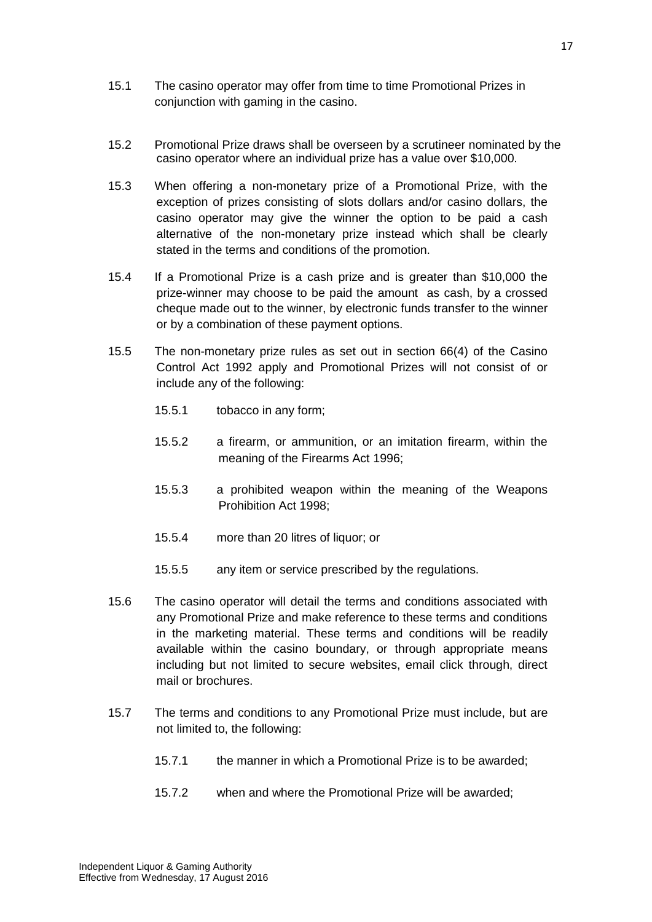- 15.1 The casino operator may offer from time to time Promotional Prizes in conjunction with gaming in the casino.
- 15.2 Promotional Prize draws shall be overseen by a scrutineer nominated by the casino operator where an individual prize has a value over \$10,000.
- 15.3 When offering a non-monetary prize of a Promotional Prize, with the exception of prizes consisting of slots dollars and/or casino dollars, the casino operator may give the winner the option to be paid a cash alternative of the non-monetary prize instead which shall be clearly stated in the terms and conditions of the promotion.
- 15.4 If a Promotional Prize is a cash prize and is greater than \$10,000 the prize-winner may choose to be paid the amount as cash, by a crossed cheque made out to the winner, by electronic funds transfer to the winner or by a combination of these payment options.
- 15.5 The non-monetary prize rules as set out in section 66(4) of the Casino Control Act 1992 apply and Promotional Prizes will not consist of or include any of the following:
	- 15.5.1 tobacco in any form;
	- 15.5.2 a firearm, or ammunition, or an imitation firearm, within the meaning of the Firearms Act 1996;
	- 15.5.3 a prohibited weapon within the meaning of the Weapons Prohibition Act 1998;
	- 15.5.4 more than 20 litres of liquor; or
	- 15.5.5 any item or service prescribed by the regulations.
- 15.6 The casino operator will detail the terms and conditions associated with any Promotional Prize and make reference to these terms and conditions in the marketing material. These terms and conditions will be readily available within the casino boundary, or through appropriate means including but not limited to secure websites, email click through, direct mail or brochures.
- 15.7 The terms and conditions to any Promotional Prize must include, but are not limited to, the following:
	- 15.7.1 the manner in which a Promotional Prize is to be awarded;
	- 15.7.2 when and where the Promotional Prize will be awarded;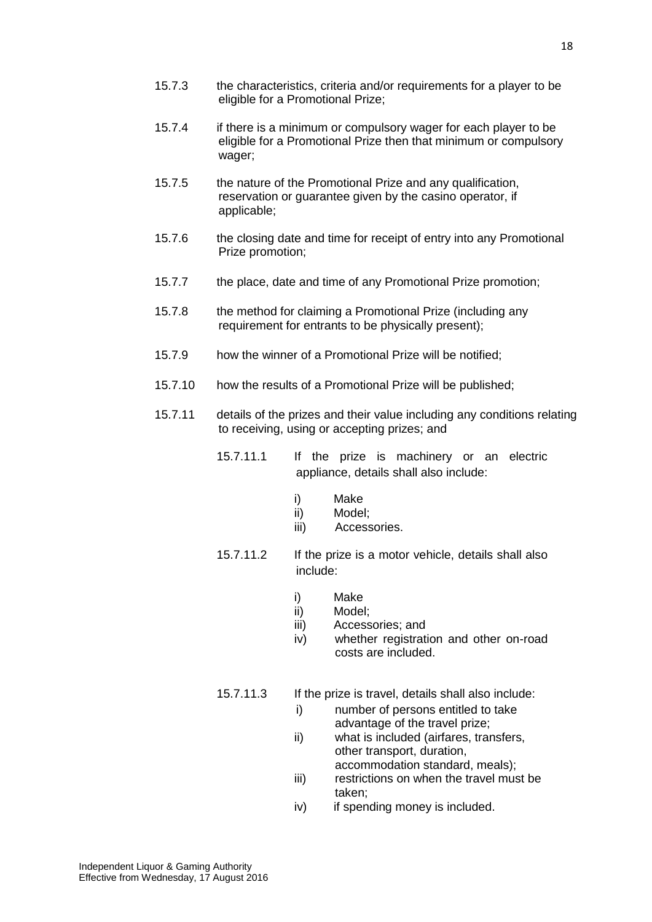- 15.7.3 the characteristics, criteria and/or requirements for a player to be eligible for a Promotional Prize;
- 15.7.4 if there is a minimum or compulsory wager for each player to be eligible for a Promotional Prize then that minimum or compulsory wager;
- 15.7.5 the nature of the Promotional Prize and any qualification, reservation or guarantee given by the casino operator, if applicable;
- 15.7.6 the closing date and time for receipt of entry into any Promotional Prize promotion;
- 15.7.7 the place, date and time of any Promotional Prize promotion;
- 15.7.8 the method for claiming a Promotional Prize (including any requirement for entrants to be physically present);
- 15.7.9 how the winner of a Promotional Prize will be notified;
- 15.7.10 how the results of a Promotional Prize will be published;
- 15.7.11 details of the prizes and their value including any conditions relating to receiving, using or accepting prizes; and
	- 15.7.11.1 If the prize is machinery or an electric appliance, details shall also include:
		- i) Make
		- ii) Model;
		- iii) Accessories.
	- 15.7.11.2 If the prize is a motor vehicle, details shall also include:
		- i) Make
		- ii) Model;
		- iii) Accessories; and
		- iv) whether registration and other on-road costs are included.
	- 15.7.11.3 If the prize is travel, details shall also include:
		- i) number of persons entitled to take advantage of the travel prize;
		- ii) what is included (airfares, transfers, other transport, duration, accommodation standard, meals);
		- iii) restrictions on when the travel must be taken;
		- iv) if spending money is included.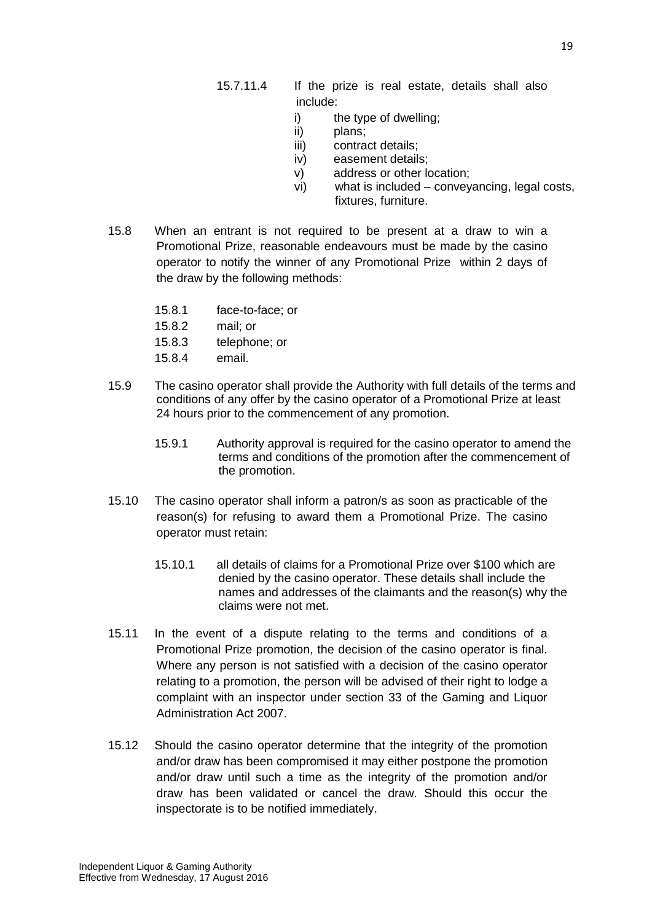- 15.7.11.4 If the prize is real estate, details shall also include:
	- i) the type of dwelling:
	- ii) plans;
	- iii) contract details;
	- iv) easement details;
	- v) address or other location;
	- vi) what is included conveyancing, legal costs, fixtures, furniture.
- 15.8 When an entrant is not required to be present at a draw to win a Promotional Prize, reasonable endeavours must be made by the casino operator to notify the winner of any Promotional Prize within 2 days of the draw by the following methods:
	- 15.8.1 face-to-face; or
	- 15.8.2 mail; or
	- 15.8.3 telephone; or
	- 15.8.4 email.
- 15.9 The casino operator shall provide the Authority with full details of the terms and conditions of any offer by the casino operator of a Promotional Prize at least 24 hours prior to the commencement of any promotion.
	- 15.9.1 Authority approval is required for the casino operator to amend the terms and conditions of the promotion after the commencement of the promotion.
- 15.10 The casino operator shall inform a patron/s as soon as practicable of the reason(s) for refusing to award them a Promotional Prize. The casino operator must retain:
	- 15.10.1 all details of claims for a Promotional Prize over \$100 which are denied by the casino operator. These details shall include the names and addresses of the claimants and the reason(s) why the claims were not met.
- 15.11 In the event of a dispute relating to the terms and conditions of a Promotional Prize promotion, the decision of the casino operator is final. Where any person is not satisfied with a decision of the casino operator relating to a promotion, the person will be advised of their right to lodge a complaint with an inspector under section 33 of the Gaming and Liquor Administration Act 2007.
- 15.12 Should the casino operator determine that the integrity of the promotion and/or draw has been compromised it may either postpone the promotion and/or draw until such a time as the integrity of the promotion and/or draw has been validated or cancel the draw. Should this occur the inspectorate is to be notified immediately.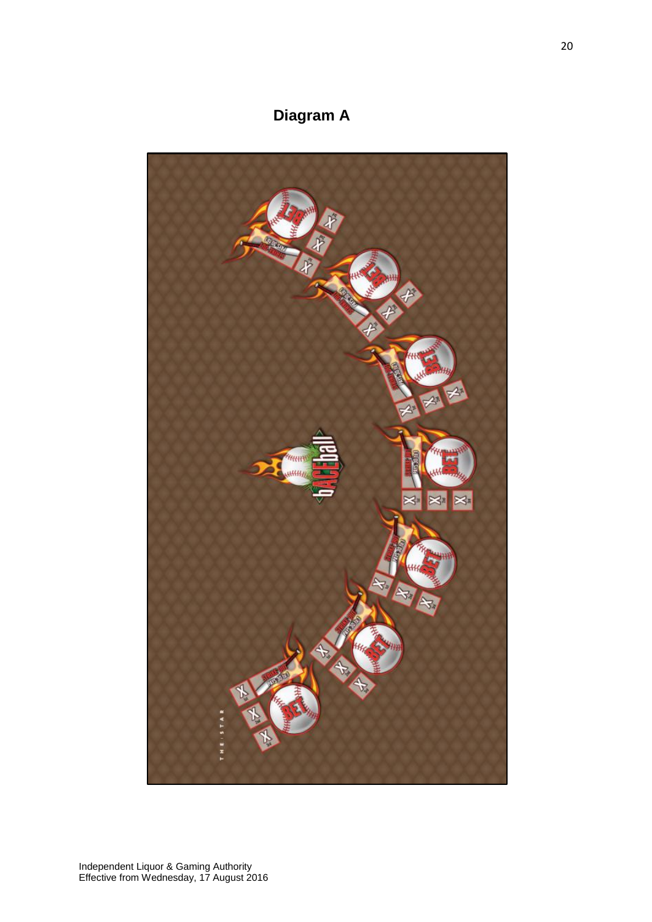### **Diagram A**

<span id="page-19-0"></span>